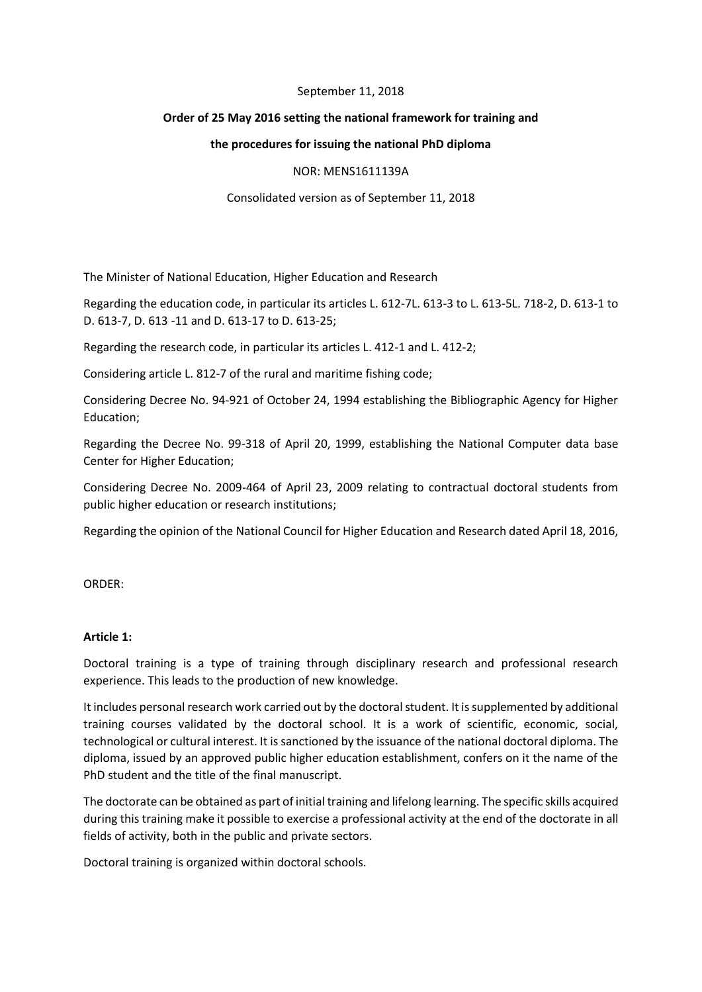#### September 11, 2018

#### **Order of 25 May 2016 setting the national framework for training and**

#### **the procedures for issuing the national PhD diploma**

#### NOR: MENS1611139A

#### Consolidated version as of September 11, 2018

The Minister of National Education, Higher Education and Research

Regarding the education code, in particular its articles L. 612-7L. 613-3 to L. 613-5L. 718-2, D. 613-1 to D. 613-7, D. 613 -11 and D. 613-17 to D. 613-25;

Regarding the research code, in particular its articles L. 412-1 and L. 412-2;

Considering article L. 812-7 of the rural and maritime fishing code;

Considering Decree No. 94-921 of October 24, 1994 establishing the Bibliographic Agency for Higher Education;

Regarding the Decree No. 99-318 of April 20, 1999, establishing the National Computer data base Center for Higher Education;

Considering Decree No. 2009-464 of April 23, 2009 relating to contractual doctoral students from public higher education or research institutions;

Regarding the opinion of the National Council for Higher Education and Research dated April 18, 2016,

ORDER:

#### **Article 1:**

Doctoral training is a type of training through disciplinary research and professional research experience. This leads to the production of new knowledge.

It includes personal research work carried out by the doctoral student. It is supplemented by additional training courses validated by the doctoral school. It is a work of scientific, economic, social, technological or cultural interest. It is sanctioned by the issuance of the national doctoral diploma. The diploma, issued by an approved public higher education establishment, confers on it the name of the PhD student and the title of the final manuscript.

The doctorate can be obtained as part of initial training and lifelong learning. The specific skills acquired during this training make it possible to exercise a professional activity at the end of the doctorate in all fields of activity, both in the public and private sectors.

Doctoral training is organized within doctoral schools.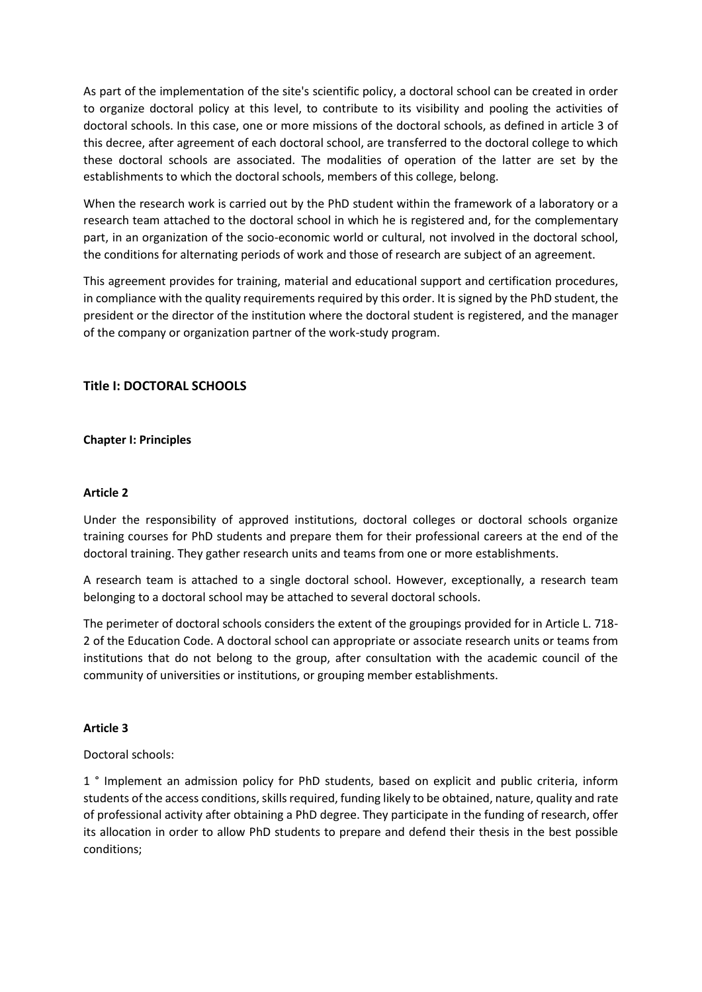As part of the implementation of the site's scientific policy, a doctoral school can be created in order to organize doctoral policy at this level, to contribute to its visibility and pooling the activities of doctoral schools. In this case, one or more missions of the doctoral schools, as defined in article 3 of this decree, after agreement of each doctoral school, are transferred to the doctoral college to which these doctoral schools are associated. The modalities of operation of the latter are set by the establishments to which the doctoral schools, members of this college, belong.

When the research work is carried out by the PhD student within the framework of a laboratory or a research team attached to the doctoral school in which he is registered and, for the complementary part, in an organization of the socio-economic world or cultural, not involved in the doctoral school, the conditions for alternating periods of work and those of research are subject of an agreement.

This agreement provides for training, material and educational support and certification procedures, in compliance with the quality requirements required by this order. It is signed by the PhD student, the president or the director of the institution where the doctoral student is registered, and the manager of the company or organization partner of the work-study program.

## **Title I: DOCTORAL SCHOOLS**

### **Chapter I: Principles**

### **Article 2**

Under the responsibility of approved institutions, doctoral colleges or doctoral schools organize training courses for PhD students and prepare them for their professional careers at the end of the doctoral training. They gather research units and teams from one or more establishments.

A research team is attached to a single doctoral school. However, exceptionally, a research team belonging to a doctoral school may be attached to several doctoral schools.

The perimeter of doctoral schools considers the extent of the groupings provided for in Article L. 718- 2 of the Education Code. A doctoral school can appropriate or associate research units or teams from institutions that do not belong to the group, after consultation with the academic council of the community of universities or institutions, or grouping member establishments.

#### **Article 3**

Doctoral schools:

1 ° Implement an admission policy for PhD students, based on explicit and public criteria, inform students of the access conditions, skills required, funding likely to be obtained, nature, quality and rate of professional activity after obtaining a PhD degree. They participate in the funding of research, offer its allocation in order to allow PhD students to prepare and defend their thesis in the best possible conditions;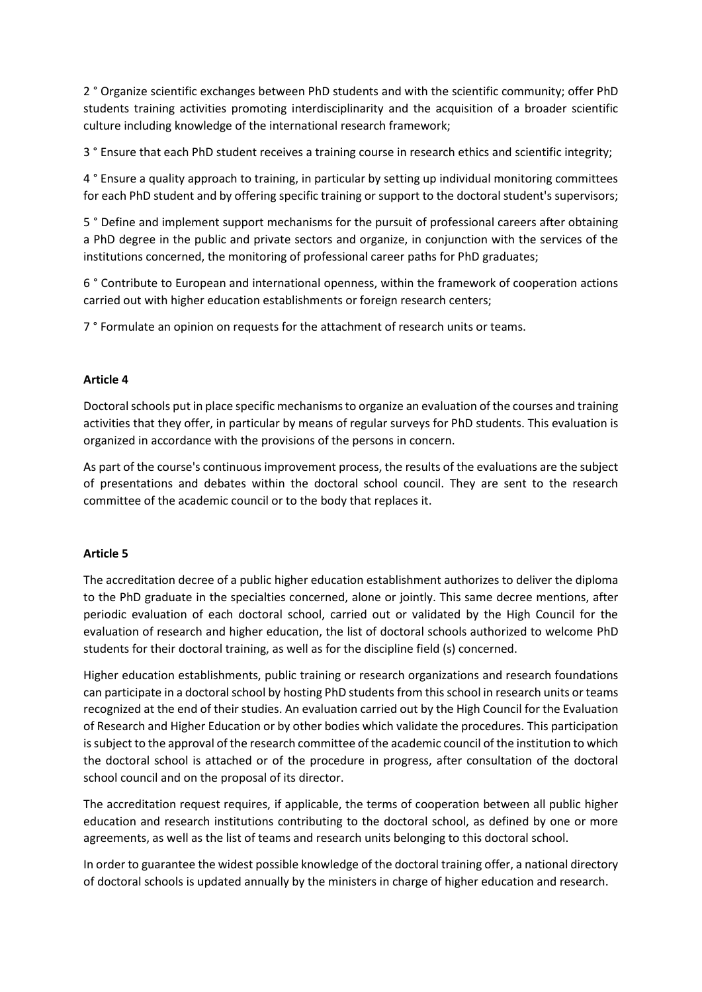2 ° Organize scientific exchanges between PhD students and with the scientific community; offer PhD students training activities promoting interdisciplinarity and the acquisition of a broader scientific culture including knowledge of the international research framework;

3 ° Ensure that each PhD student receives a training course in research ethics and scientific integrity;

4 ° Ensure a quality approach to training, in particular by setting up individual monitoring committees for each PhD student and by offering specific training or support to the doctoral student's supervisors;

5 ° Define and implement support mechanisms for the pursuit of professional careers after obtaining a PhD degree in the public and private sectors and organize, in conjunction with the services of the institutions concerned, the monitoring of professional career paths for PhD graduates;

6 ° Contribute to European and international openness, within the framework of cooperation actions carried out with higher education establishments or foreign research centers;

7 ° Formulate an opinion on requests for the attachment of research units or teams.

## **Article 4**

Doctoral schools put in place specific mechanisms to organize an evaluation of the courses and training activities that they offer, in particular by means of regular surveys for PhD students. This evaluation is organized in accordance with the provisions of the persons in concern.

As part of the course's continuous improvement process, the results of the evaluations are the subject of presentations and debates within the doctoral school council. They are sent to the research committee of the academic council or to the body that replaces it.

## **Article 5**

The accreditation decree of a public higher education establishment authorizes to deliver the diploma to the PhD graduate in the specialties concerned, alone or jointly. This same decree mentions, after periodic evaluation of each doctoral school, carried out or validated by the High Council for the evaluation of research and higher education, the list of doctoral schools authorized to welcome PhD students for their doctoral training, as well as for the discipline field (s) concerned.

Higher education establishments, public training or research organizations and research foundations can participate in a doctoral school by hosting PhD students from this school in research units or teams recognized at the end of their studies. An evaluation carried out by the High Council for the Evaluation of Research and Higher Education or by other bodies which validate the procedures. This participation is subject to the approval of the research committee of the academic council of the institution to which the doctoral school is attached or of the procedure in progress, after consultation of the doctoral school council and on the proposal of its director.

The accreditation request requires, if applicable, the terms of cooperation between all public higher education and research institutions contributing to the doctoral school, as defined by one or more agreements, as well as the list of teams and research units belonging to this doctoral school.

In order to guarantee the widest possible knowledge of the doctoral training offer, a national directory of doctoral schools is updated annually by the ministers in charge of higher education and research.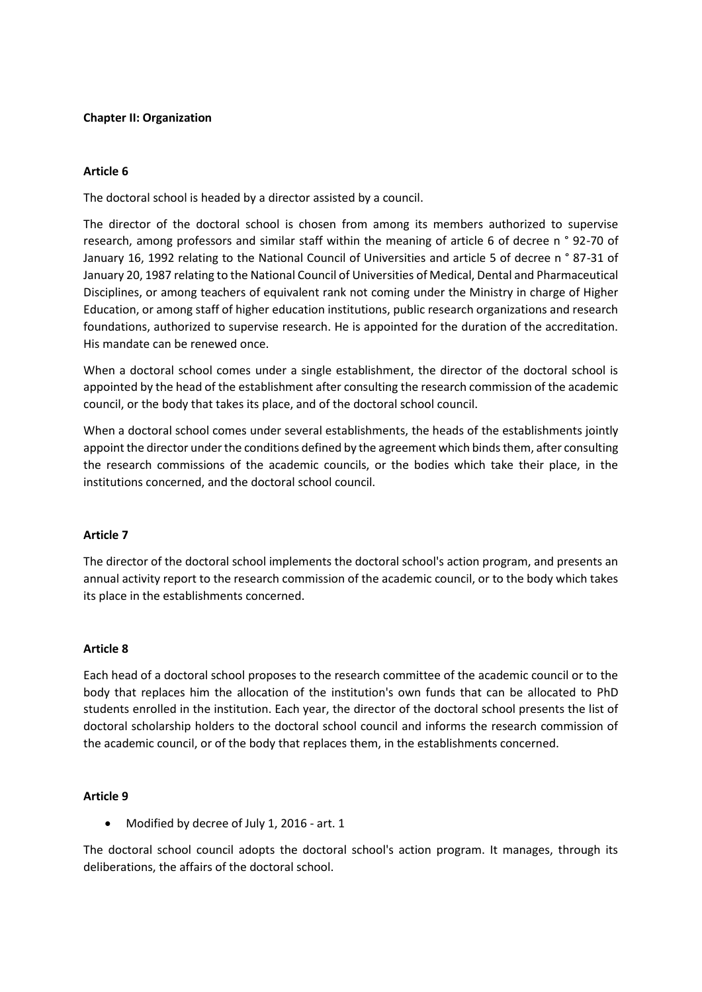### **Chapter II: Organization**

### **Article 6**

The doctoral school is headed by a director assisted by a council.

The director of the doctoral school is chosen from among its members authorized to supervise research, among professors and similar staff within the meaning of article 6 of decree n ° 92-70 of January 16, 1992 relating to the National Council of Universities and article 5 of decree n ° 87-31 of January 20, 1987 relating to the National Council of Universities of Medical, Dental and Pharmaceutical Disciplines, or among teachers of equivalent rank not coming under the Ministry in charge of Higher Education, or among staff of higher education institutions, public research organizations and research foundations, authorized to supervise research. He is appointed for the duration of the accreditation. His mandate can be renewed once.

When a doctoral school comes under a single establishment, the director of the doctoral school is appointed by the head of the establishment after consulting the research commission of the academic council, or the body that takes its place, and of the doctoral school council.

When a doctoral school comes under several establishments, the heads of the establishments jointly appoint the director under the conditions defined by the agreement which binds them, after consulting the research commissions of the academic councils, or the bodies which take their place, in the institutions concerned, and the doctoral school council.

#### **Article 7**

The director of the doctoral school implements the doctoral school's action program, and presents an annual activity report to the research commission of the academic council, or to the body which takes its place in the establishments concerned.

#### **Article 8**

Each head of a doctoral school proposes to the research committee of the academic council or to the body that replaces him the allocation of the institution's own funds that can be allocated to PhD students enrolled in the institution. Each year, the director of the doctoral school presents the list of doctoral scholarship holders to the doctoral school council and informs the research commission of the academic council, or of the body that replaces them, in the establishments concerned.

#### **Article 9**

• Modified by decree of July 1, 2016 - art. 1

The doctoral school council adopts the doctoral school's action program. It manages, through its deliberations, the affairs of the doctoral school.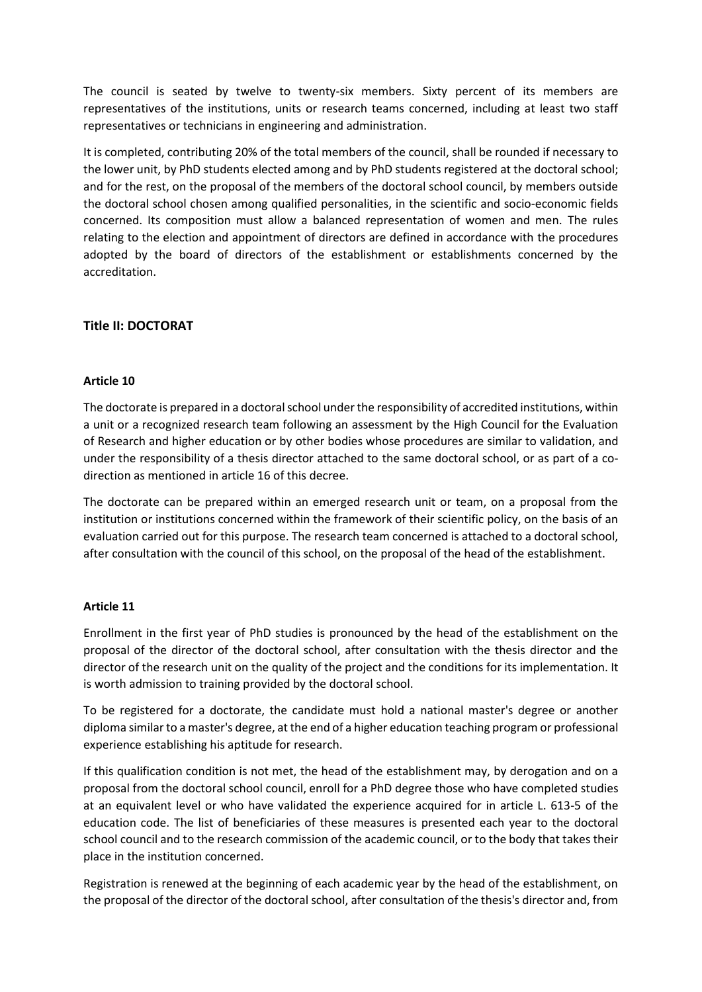The council is seated by twelve to twenty-six members. Sixty percent of its members are representatives of the institutions, units or research teams concerned, including at least two staff representatives or technicians in engineering and administration.

It is completed, contributing 20% of the total members of the council, shall be rounded if necessary to the lower unit, by PhD students elected among and by PhD students registered at the doctoral school; and for the rest, on the proposal of the members of the doctoral school council, by members outside the doctoral school chosen among qualified personalities, in the scientific and socio-economic fields concerned. Its composition must allow a balanced representation of women and men. The rules relating to the election and appointment of directors are defined in accordance with the procedures adopted by the board of directors of the establishment or establishments concerned by the accreditation.

# **Title II: DOCTORAT**

### **Article 10**

The doctorate is prepared in a doctoral school under the responsibility of accredited institutions, within a unit or a recognized research team following an assessment by the High Council for the Evaluation of Research and higher education or by other bodies whose procedures are similar to validation, and under the responsibility of a thesis director attached to the same doctoral school, or as part of a codirection as mentioned in article 16 of this decree.

The doctorate can be prepared within an emerged research unit or team, on a proposal from the institution or institutions concerned within the framework of their scientific policy, on the basis of an evaluation carried out for this purpose. The research team concerned is attached to a doctoral school, after consultation with the council of this school, on the proposal of the head of the establishment.

#### **Article 11**

Enrollment in the first year of PhD studies is pronounced by the head of the establishment on the proposal of the director of the doctoral school, after consultation with the thesis director and the director of the research unit on the quality of the project and the conditions for its implementation. It is worth admission to training provided by the doctoral school.

To be registered for a doctorate, the candidate must hold a national master's degree or another diploma similar to a master's degree, at the end of a higher education teaching program or professional experience establishing his aptitude for research.

If this qualification condition is not met, the head of the establishment may, by derogation and on a proposal from the doctoral school council, enroll for a PhD degree those who have completed studies at an equivalent level or who have validated the experience acquired for in article L. 613-5 of the education code. The list of beneficiaries of these measures is presented each year to the doctoral school council and to the research commission of the academic council, or to the body that takes their place in the institution concerned.

Registration is renewed at the beginning of each academic year by the head of the establishment, on the proposal of the director of the doctoral school, after consultation of the thesis's director and, from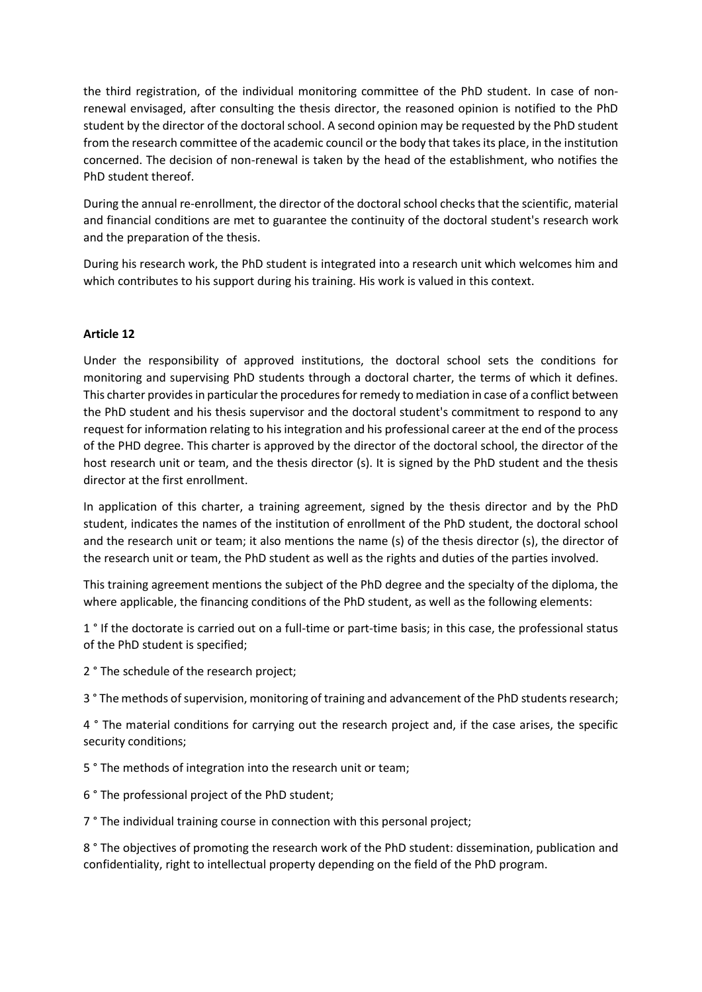the third registration, of the individual monitoring committee of the PhD student. In case of nonrenewal envisaged, after consulting the thesis director, the reasoned opinion is notified to the PhD student by the director of the doctoral school. A second opinion may be requested by the PhD student from the research committee of the academic council or the body that takes its place, in the institution concerned. The decision of non-renewal is taken by the head of the establishment, who notifies the PhD student thereof.

During the annual re-enrollment, the director of the doctoral school checks that the scientific, material and financial conditions are met to guarantee the continuity of the doctoral student's research work and the preparation of the thesis.

During his research work, the PhD student is integrated into a research unit which welcomes him and which contributes to his support during his training. His work is valued in this context.

## **Article 12**

Under the responsibility of approved institutions, the doctoral school sets the conditions for monitoring and supervising PhD students through a doctoral charter, the terms of which it defines. This charter provides in particular the procedures for remedy to mediation in case of a conflict between the PhD student and his thesis supervisor and the doctoral student's commitment to respond to any request for information relating to his integration and his professional career at the end of the process of the PHD degree. This charter is approved by the director of the doctoral school, the director of the host research unit or team, and the thesis director (s). It is signed by the PhD student and the thesis director at the first enrollment.

In application of this charter, a training agreement, signed by the thesis director and by the PhD student, indicates the names of the institution of enrollment of the PhD student, the doctoral school and the research unit or team; it also mentions the name (s) of the thesis director (s), the director of the research unit or team, the PhD student as well as the rights and duties of the parties involved.

This training agreement mentions the subject of the PhD degree and the specialty of the diploma, the where applicable, the financing conditions of the PhD student, as well as the following elements:

1 ° If the doctorate is carried out on a full-time or part-time basis; in this case, the professional status of the PhD student is specified;

2 ° The schedule of the research project;

3 ° The methods of supervision, monitoring of training and advancement of the PhD students research;

4 ° The material conditions for carrying out the research project and, if the case arises, the specific security conditions;

5 ° The methods of integration into the research unit or team;

6 ° The professional project of the PhD student;

7 ° The individual training course in connection with this personal project;

8 ° The objectives of promoting the research work of the PhD student: dissemination, publication and confidentiality, right to intellectual property depending on the field of the PhD program.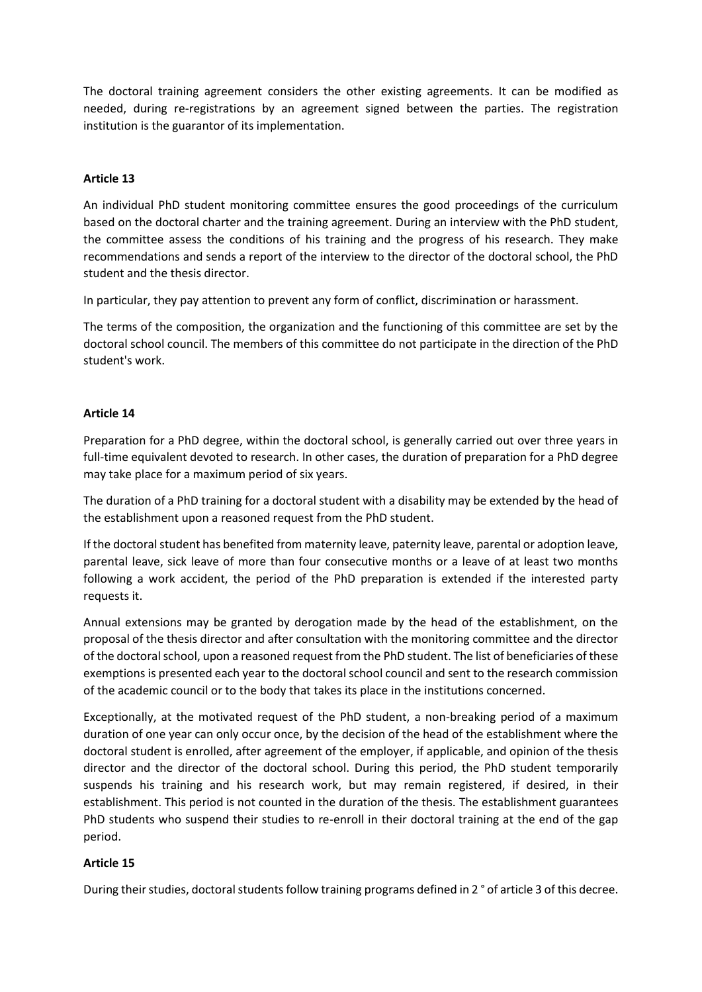The doctoral training agreement considers the other existing agreements. It can be modified as needed, during re-registrations by an agreement signed between the parties. The registration institution is the guarantor of its implementation.

### **Article 13**

An individual PhD student monitoring committee ensures the good proceedings of the curriculum based on the doctoral charter and the training agreement. During an interview with the PhD student, the committee assess the conditions of his training and the progress of his research. They make recommendations and sends a report of the interview to the director of the doctoral school, the PhD student and the thesis director.

In particular, they pay attention to prevent any form of conflict, discrimination or harassment.

The terms of the composition, the organization and the functioning of this committee are set by the doctoral school council. The members of this committee do not participate in the direction of the PhD student's work.

### **Article 14**

Preparation for a PhD degree, within the doctoral school, is generally carried out over three years in full-time equivalent devoted to research. In other cases, the duration of preparation for a PhD degree may take place for a maximum period of six years.

The duration of a PhD training for a doctoral student with a disability may be extended by the head of the establishment upon a reasoned request from the PhD student.

If the doctoral student has benefited from maternity leave, paternity leave, parental or adoption leave, parental leave, sick leave of more than four consecutive months or a leave of at least two months following a work accident, the period of the PhD preparation is extended if the interested party requests it.

Annual extensions may be granted by derogation made by the head of the establishment, on the proposal of the thesis director and after consultation with the monitoring committee and the director of the doctoral school, upon a reasoned request from the PhD student. The list of beneficiaries of these exemptions is presented each year to the doctoral school council and sent to the research commission of the academic council or to the body that takes its place in the institutions concerned.

Exceptionally, at the motivated request of the PhD student, a non-breaking period of a maximum duration of one year can only occur once, by the decision of the head of the establishment where the doctoral student is enrolled, after agreement of the employer, if applicable, and opinion of the thesis director and the director of the doctoral school. During this period, the PhD student temporarily suspends his training and his research work, but may remain registered, if desired, in their establishment. This period is not counted in the duration of the thesis. The establishment guarantees PhD students who suspend their studies to re-enroll in their doctoral training at the end of the gap period.

#### **Article 15**

During their studies, doctoral students follow training programs defined in 2 ° of article 3 of this decree.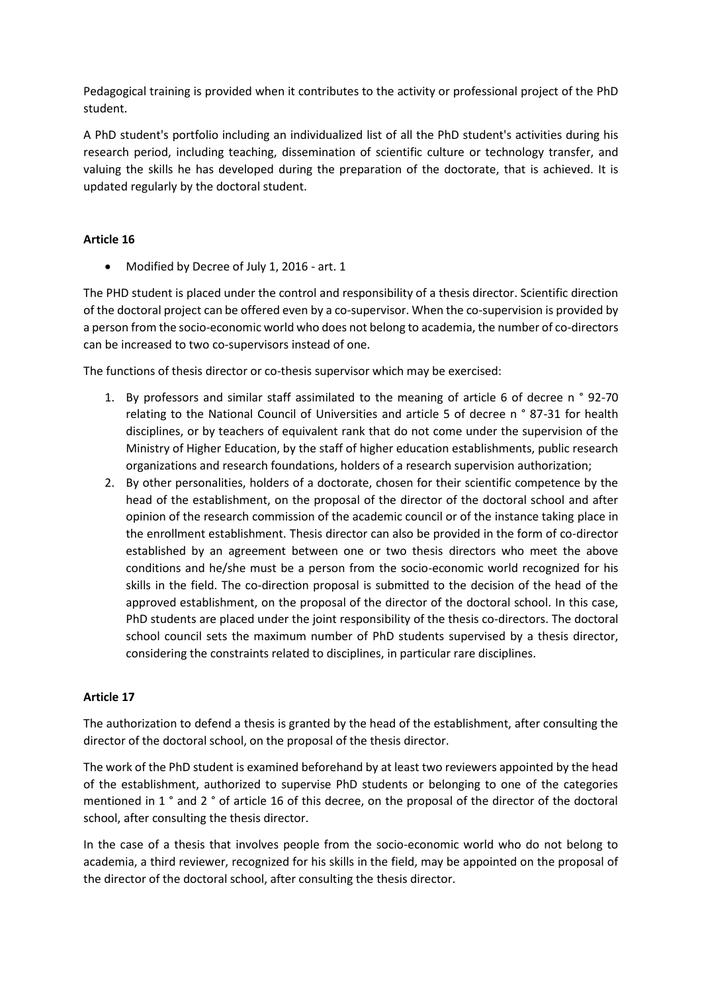Pedagogical training is provided when it contributes to the activity or professional project of the PhD student.

A PhD student's portfolio including an individualized list of all the PhD student's activities during his research period, including teaching, dissemination of scientific culture or technology transfer, and valuing the skills he has developed during the preparation of the doctorate, that is achieved. It is updated regularly by the doctoral student.

## **Article 16**

• Modified by Decree of July 1, 2016 - art. 1

The PHD student is placed under the control and responsibility of a thesis director. Scientific direction of the doctoral project can be offered even by a co-supervisor. When the co-supervision is provided by a person from the socio-economic world who does not belong to academia, the number of co-directors can be increased to two co-supervisors instead of one.

The functions of thesis director or co-thesis supervisor which may be exercised:

- 1. By professors and similar staff assimilated to the meaning of article 6 of decree n ° 92-70 relating to the National Council of Universities and article 5 of decree n ° 87-31 for health disciplines, or by teachers of equivalent rank that do not come under the supervision of the Ministry of Higher Education, by the staff of higher education establishments, public research organizations and research foundations, holders of a research supervision authorization;
- 2. By other personalities, holders of a doctorate, chosen for their scientific competence by the head of the establishment, on the proposal of the director of the doctoral school and after opinion of the research commission of the academic council or of the instance taking place in the enrollment establishment. Thesis director can also be provided in the form of co-director established by an agreement between one or two thesis directors who meet the above conditions and he/she must be a person from the socio-economic world recognized for his skills in the field. The co-direction proposal is submitted to the decision of the head of the approved establishment, on the proposal of the director of the doctoral school. In this case, PhD students are placed under the joint responsibility of the thesis co-directors. The doctoral school council sets the maximum number of PhD students supervised by a thesis director, considering the constraints related to disciplines, in particular rare disciplines.

## **Article 17**

The authorization to defend a thesis is granted by the head of the establishment, after consulting the director of the doctoral school, on the proposal of the thesis director.

The work of the PhD student is examined beforehand by at least two reviewers appointed by the head of the establishment, authorized to supervise PhD students or belonging to one of the categories mentioned in 1 ° and 2 ° of article 16 of this decree, on the proposal of the director of the doctoral school, after consulting the thesis director.

In the case of a thesis that involves people from the socio-economic world who do not belong to academia, a third reviewer, recognized for his skills in the field, may be appointed on the proposal of the director of the doctoral school, after consulting the thesis director.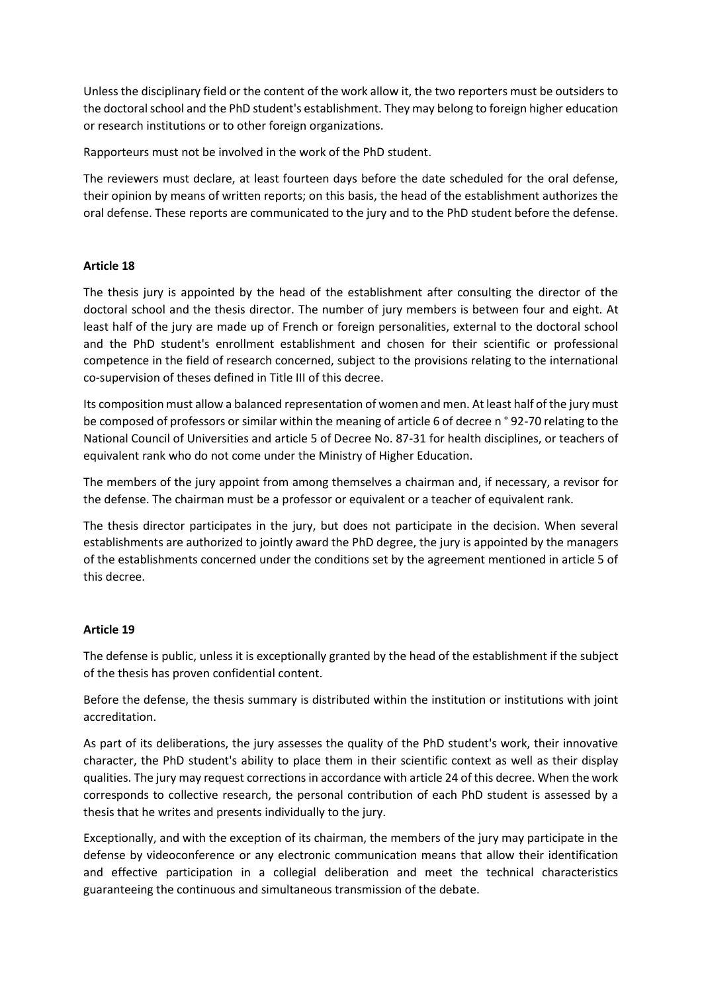Unless the disciplinary field or the content of the work allow it, the two reporters must be outsiders to the doctoral school and the PhD student's establishment. They may belong to foreign higher education or research institutions or to other foreign organizations.

Rapporteurs must not be involved in the work of the PhD student.

The reviewers must declare, at least fourteen days before the date scheduled for the oral defense, their opinion by means of written reports; on this basis, the head of the establishment authorizes the oral defense. These reports are communicated to the jury and to the PhD student before the defense.

### **Article 18**

The thesis jury is appointed by the head of the establishment after consulting the director of the doctoral school and the thesis director. The number of jury members is between four and eight. At least half of the jury are made up of French or foreign personalities, external to the doctoral school and the PhD student's enrollment establishment and chosen for their scientific or professional competence in the field of research concerned, subject to the provisions relating to the international co-supervision of theses defined in Title III of this decree.

Its composition must allow a balanced representation of women and men. At least half of the jury must be composed of professors or similar within the meaning of article 6 of decree n ° 92-70 relating to the National Council of Universities and article 5 of Decree No. 87-31 for health disciplines, or teachers of equivalent rank who do not come under the Ministry of Higher Education.

The members of the jury appoint from among themselves a chairman and, if necessary, a revisor for the defense. The chairman must be a professor or equivalent or a teacher of equivalent rank.

The thesis director participates in the jury, but does not participate in the decision. When several establishments are authorized to jointly award the PhD degree, the jury is appointed by the managers of the establishments concerned under the conditions set by the agreement mentioned in article 5 of this decree.

## **Article 19**

The defense is public, unless it is exceptionally granted by the head of the establishment if the subject of the thesis has proven confidential content.

Before the defense, the thesis summary is distributed within the institution or institutions with joint accreditation.

As part of its deliberations, the jury assesses the quality of the PhD student's work, their innovative character, the PhD student's ability to place them in their scientific context as well as their display qualities. The jury may request corrections in accordance with article 24 of this decree. When the work corresponds to collective research, the personal contribution of each PhD student is assessed by a thesis that he writes and presents individually to the jury.

Exceptionally, and with the exception of its chairman, the members of the jury may participate in the defense by videoconference or any electronic communication means that allow their identification and effective participation in a collegial deliberation and meet the technical characteristics guaranteeing the continuous and simultaneous transmission of the debate.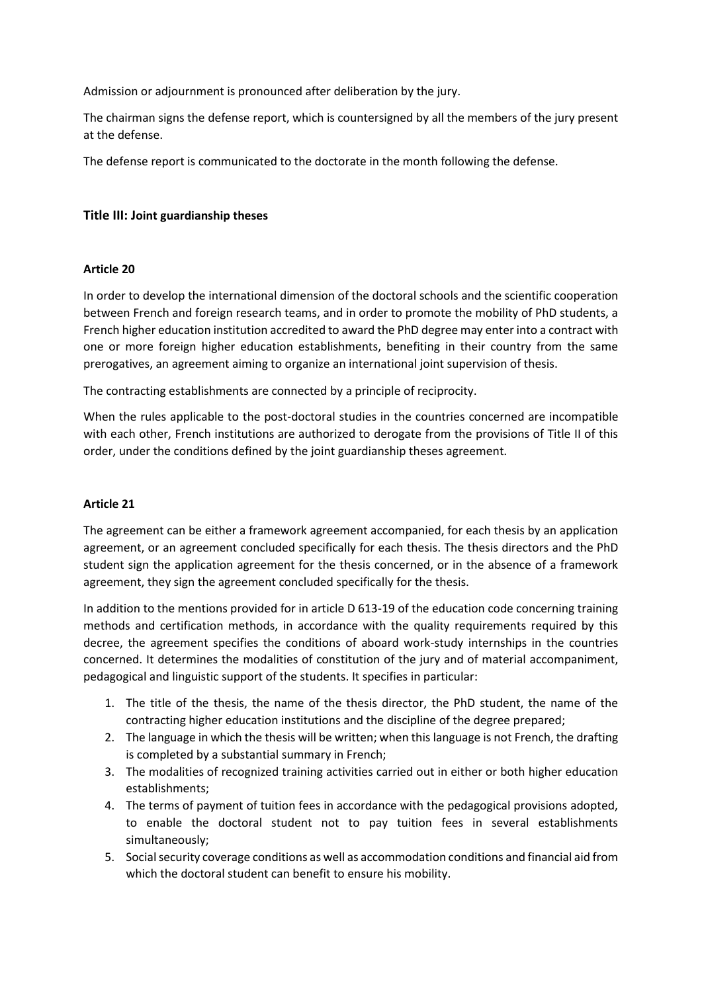Admission or adjournment is pronounced after deliberation by the jury.

The chairman signs the defense report, which is countersigned by all the members of the jury present at the defense.

The defense report is communicated to the doctorate in the month following the defense.

## **Title III: Joint guardianship theses**

## **Article 20**

In order to develop the international dimension of the doctoral schools and the scientific cooperation between French and foreign research teams, and in order to promote the mobility of PhD students, a French higher education institution accredited to award the PhD degree may enter into a contract with one or more foreign higher education establishments, benefiting in their country from the same prerogatives, an agreement aiming to organize an international joint supervision of thesis.

The contracting establishments are connected by a principle of reciprocity.

When the rules applicable to the post-doctoral studies in the countries concerned are incompatible with each other, French institutions are authorized to derogate from the provisions of Title II of this order, under the conditions defined by the joint guardianship theses agreement.

## **Article 21**

The agreement can be either a framework agreement accompanied, for each thesis by an application agreement, or an agreement concluded specifically for each thesis. The thesis directors and the PhD student sign the application agreement for the thesis concerned, or in the absence of a framework agreement, they sign the agreement concluded specifically for the thesis.

In addition to the mentions provided for in article D 613-19 of the education code concerning training methods and certification methods, in accordance with the quality requirements required by this decree, the agreement specifies the conditions of aboard work-study internships in the countries concerned. It determines the modalities of constitution of the jury and of material accompaniment, pedagogical and linguistic support of the students. It specifies in particular:

- 1. The title of the thesis, the name of the thesis director, the PhD student, the name of the contracting higher education institutions and the discipline of the degree prepared;
- 2. The language in which the thesis will be written; when this language is not French, the drafting is completed by a substantial summary in French;
- 3. The modalities of recognized training activities carried out in either or both higher education establishments;
- 4. The terms of payment of tuition fees in accordance with the pedagogical provisions adopted, to enable the doctoral student not to pay tuition fees in several establishments simultaneously;
- 5. Social security coverage conditions as well as accommodation conditions and financial aid from which the doctoral student can benefit to ensure his mobility.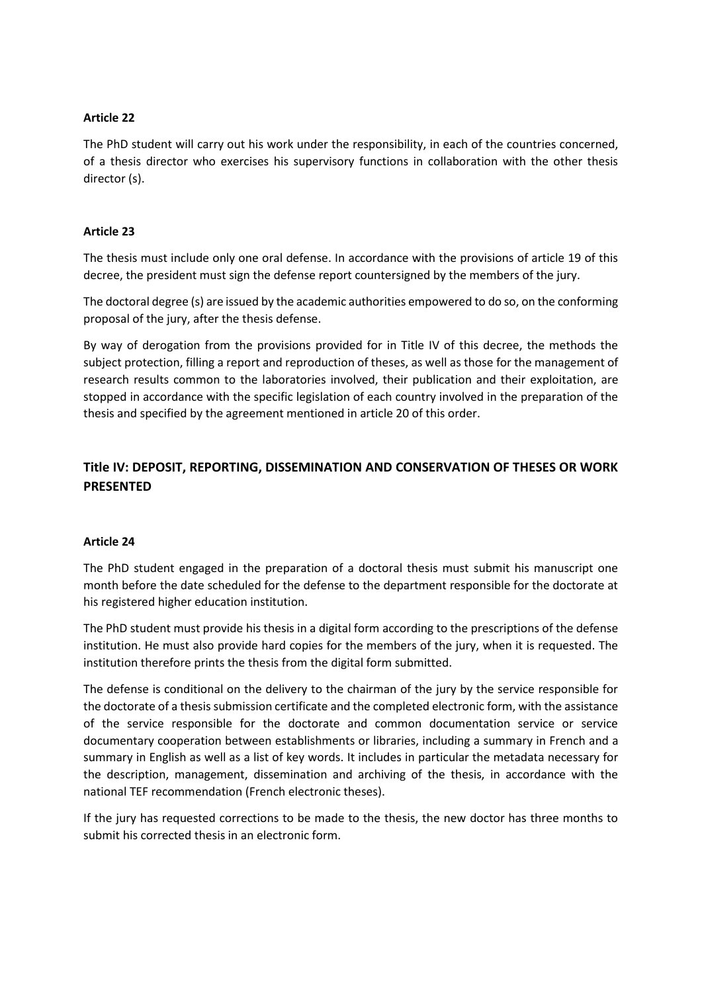### **Article 22**

The PhD student will carry out his work under the responsibility, in each of the countries concerned, of a thesis director who exercises his supervisory functions in collaboration with the other thesis director (s).

### **Article 23**

The thesis must include only one oral defense. In accordance with the provisions of article 19 of this decree, the president must sign the defense report countersigned by the members of the jury.

The doctoral degree (s) are issued by the academic authorities empowered to do so, on the conforming proposal of the jury, after the thesis defense.

By way of derogation from the provisions provided for in Title IV of this decree, the methods the subject protection, filling a report and reproduction of theses, as well as those for the management of research results common to the laboratories involved, their publication and their exploitation, are stopped in accordance with the specific legislation of each country involved in the preparation of the thesis and specified by the agreement mentioned in article 20 of this order.

# **Title IV: DEPOSIT, REPORTING, DISSEMINATION AND CONSERVATION OF THESES OR WORK PRESENTED**

#### **Article 24**

The PhD student engaged in the preparation of a doctoral thesis must submit his manuscript one month before the date scheduled for the defense to the department responsible for the doctorate at his registered higher education institution.

The PhD student must provide his thesis in a digital form according to the prescriptions of the defense institution. He must also provide hard copies for the members of the jury, when it is requested. The institution therefore prints the thesis from the digital form submitted.

The defense is conditional on the delivery to the chairman of the jury by the service responsible for the doctorate of a thesis submission certificate and the completed electronic form, with the assistance of the service responsible for the doctorate and common documentation service or service documentary cooperation between establishments or libraries, including a summary in French and a summary in English as well as a list of key words. It includes in particular the metadata necessary for the description, management, dissemination and archiving of the thesis, in accordance with the national TEF recommendation (French electronic theses).

If the jury has requested corrections to be made to the thesis, the new doctor has three months to submit his corrected thesis in an electronic form.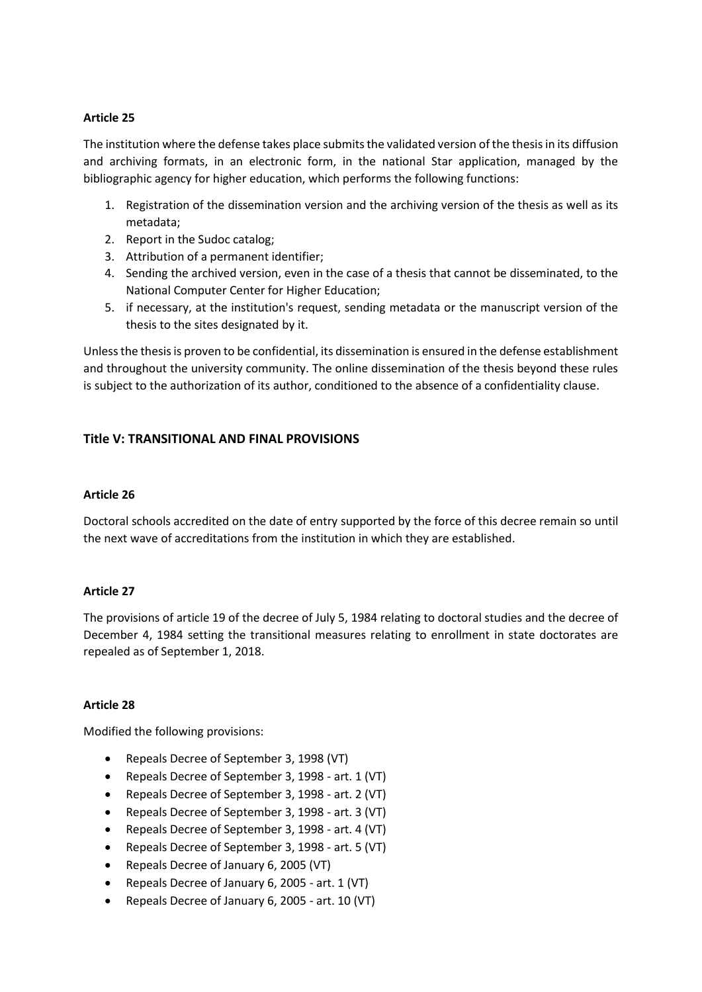### **Article 25**

The institution where the defense takes place submits the validated version of the thesis in its diffusion and archiving formats, in an electronic form, in the national Star application, managed by the bibliographic agency for higher education, which performs the following functions:

- 1. Registration of the dissemination version and the archiving version of the thesis as well as its metadata;
- 2. Report in the Sudoc catalog;
- 3. Attribution of a permanent identifier;
- 4. Sending the archived version, even in the case of a thesis that cannot be disseminated, to the National Computer Center for Higher Education;
- 5. if necessary, at the institution's request, sending metadata or the manuscript version of the thesis to the sites designated by it.

Unless the thesis is proven to be confidential, its dissemination is ensured in the defense establishment and throughout the university community. The online dissemination of the thesis beyond these rules is subject to the authorization of its author, conditioned to the absence of a confidentiality clause.

## **Title V: TRANSITIONAL AND FINAL PROVISIONS**

### **Article 26**

Doctoral schools accredited on the date of entry supported by the force of this decree remain so until the next wave of accreditations from the institution in which they are established.

## **Article 27**

The provisions of article 19 of the decree of July 5, 1984 relating to doctoral studies and the decree of December 4, 1984 setting the transitional measures relating to enrollment in state doctorates are repealed as of September 1, 2018.

#### **Article 28**

Modified the following provisions:

- Repeals Decree of September 3, 1998 (VT)
- Repeals Decree of September 3, 1998 art. 1 (VT)
- Repeals Decree of September 3, 1998 art. 2 (VT)
- Repeals Decree of September 3, 1998 art. 3 (VT)
- Repeals Decree of September 3, 1998 art. 4 (VT)
- Repeals Decree of September 3, 1998 art. 5 (VT)
- Repeals Decree of January 6, 2005 (VT)
- Repeals Decree of January 6, 2005 art. 1 (VT)
- Repeals Decree of January 6, 2005 art. 10 (VT)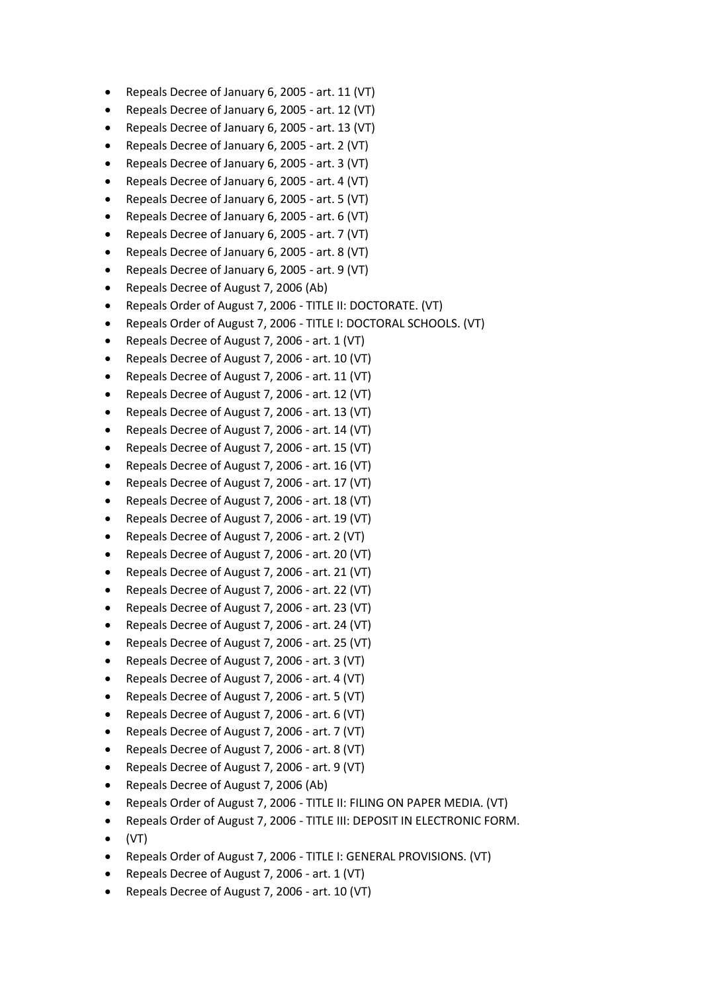- Repeals Decree of January 6, 2005 art. 11 (VT)
- Repeals Decree of January 6, 2005 art. 12 (VT)
- Repeals Decree of January 6, 2005 art. 13 (VT)
- Repeals Decree of January 6, 2005 art. 2 (VT)
- Repeals Decree of January 6, 2005 art. 3 (VT)
- Repeals Decree of January 6, 2005 art. 4 (VT)
- Repeals Decree of January 6, 2005 art. 5 (VT)
- Repeals Decree of January 6, 2005 art. 6 (VT)
- Repeals Decree of January 6, 2005 art. 7 (VT)
- Repeals Decree of January 6, 2005 art. 8 (VT)
- Repeals Decree of January 6, 2005 art. 9 (VT)
- Repeals Decree of August 7, 2006 (Ab)
- Repeals Order of August 7, 2006 TITLE II: DOCTORATE. (VT)
- Repeals Order of August 7, 2006 TITLE I: DOCTORAL SCHOOLS. (VT)
- Repeals Decree of August 7, 2006 art. 1 (VT)
- Repeals Decree of August 7, 2006 art. 10 (VT)
- Repeals Decree of August 7, 2006 art. 11 (VT)
- Repeals Decree of August 7, 2006 art. 12 (VT)
- Repeals Decree of August 7, 2006 art. 13 (VT)
- Repeals Decree of August 7, 2006 art. 14 (VT)
- Repeals Decree of August 7, 2006 art. 15 (VT)
- Repeals Decree of August 7, 2006 art. 16 (VT)
- Repeals Decree of August 7, 2006 art. 17 (VT)
- Repeals Decree of August 7, 2006 art. 18 (VT)
- Repeals Decree of August 7, 2006 art. 19 (VT)
- Repeals Decree of August 7, 2006 art. 2 (VT)
- Repeals Decree of August 7, 2006 art. 20 (VT)
- Repeals Decree of August 7, 2006 art. 21 (VT)
- Repeals Decree of August 7, 2006 art. 22 (VT)
- Repeals Decree of August 7, 2006 art. 23 (VT)
- Repeals Decree of August 7, 2006 art. 24 (VT)
- Repeals Decree of August 7, 2006 art. 25 (VT)
- Repeals Decree of August 7, 2006 art. 3 (VT)
- Repeals Decree of August 7, 2006 art. 4 (VT)
- Repeals Decree of August 7, 2006 art. 5 (VT)
- Repeals Decree of August 7, 2006 art. 6 (VT)
- Repeals Decree of August 7, 2006 art. 7 (VT)
- Repeals Decree of August 7, 2006 art. 8 (VT)
- Repeals Decree of August 7, 2006 art. 9 (VT)
- Repeals Decree of August 7, 2006 (Ab)
- Repeals Order of August 7, 2006 TITLE II: FILING ON PAPER MEDIA. (VT)
- Repeals Order of August 7, 2006 TITLE III: DEPOSIT IN ELECTRONIC FORM.
- $\bullet$  (VT)
- Repeals Order of August 7, 2006 TITLE I: GENERAL PROVISIONS. (VT)
- Repeals Decree of August 7, 2006 art. 1 (VT)
- Repeals Decree of August 7, 2006 art. 10 (VT)